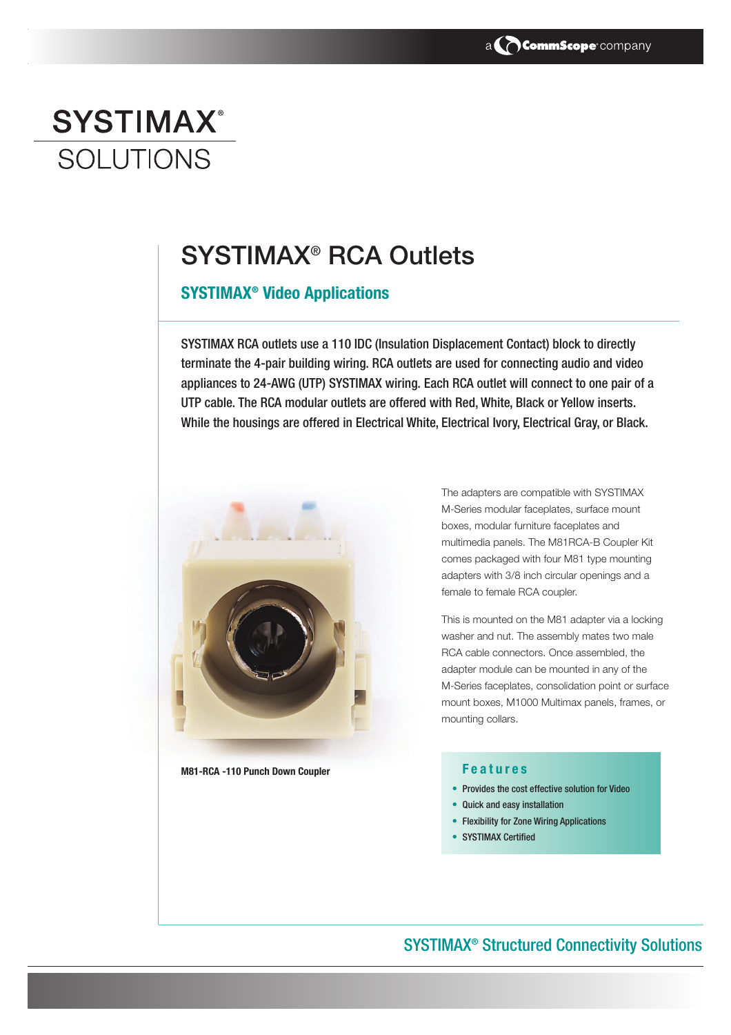

# **SYSTIMAX® SOLUTIONS**

## **SYSTIMAX® RCA Outlets**

## **SYSTIMAX® Video Applications**

SYSTIMAX RCA outlets use a 110 IDC (Insulation Displacement Contact) block to directly terminate the 4-pair building wiring. RCA outlets are used for connecting audio and video appliances to 24-AWG (UTP) SYSTIMAX wiring. Each RCA outlet will connect to one pair of a UTP cable. The RCA modular outlets are offered with Red, White, Black or Yellow inserts. While the housings are offered in Electrical White, Electrical Ivory, Electrical Gray, or Black.



**M81-RCA -110 Punch Down Coupler**

The adapters are compatible with SYSTIMAX M-Series modular faceplates, surface mount boxes, modular furniture faceplates and multimedia panels. The M81RCA-B Coupler Kit comes packaged with four M81 type mounting adapters with 3/8 inch circular openings and a female to female RCA coupler.

This is mounted on the M81 adapter via a locking washer and nut. The assembly mates two male RCA cable connectors. Once assembled, the adapter module can be mounted in any of the M-Series faceplates, consolidation point or surface mount boxes, M1000 Multimax panels, frames, or mounting collars.

#### **F eatures**

- Provides the cost effective solution for Video
- Quick and easy installation
- Flexibility for Zone Wiring Applications
- SYSTIMAX Certified

## SYSTIMAX® Structured Connectivity Solutions